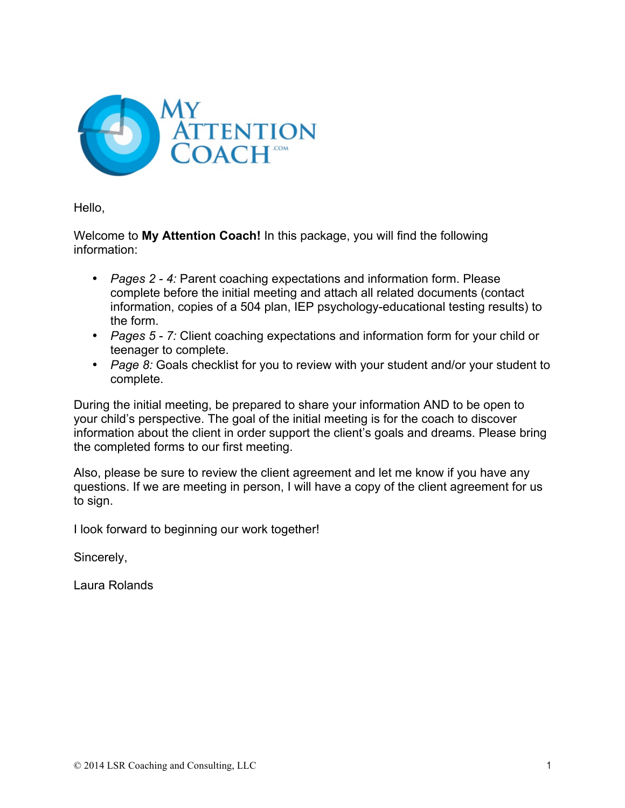

Hello,

Welcome to **My Attention Coach!** In this package, you will find the following information:

- *Pages 2 - 4:* Parent coaching expectations and information form. Please complete before the initial meeting and attach all related documents (contact information, copies of a 504 plan, IEP psychology-educational testing results) to the form.
- *Pages 5 - 7:* Client coaching expectations and information form for your child or teenager to complete.
- *Page 8:* Goals checklist for you to review with your student and/or your student to complete.

During the initial meeting, be prepared to share your information AND to be open to your child's perspective. The goal of the initial meeting is for the coach to discover information about the client in order support the client's goals and dreams. Please bring the completed forms to our first meeting.

Also, please be sure to review the client agreement and let me know if you have any questions. If we are meeting in person, I will have a copy of the client agreement for us to sign.

I look forward to beginning our work together!

Sincerely,

Laura Rolands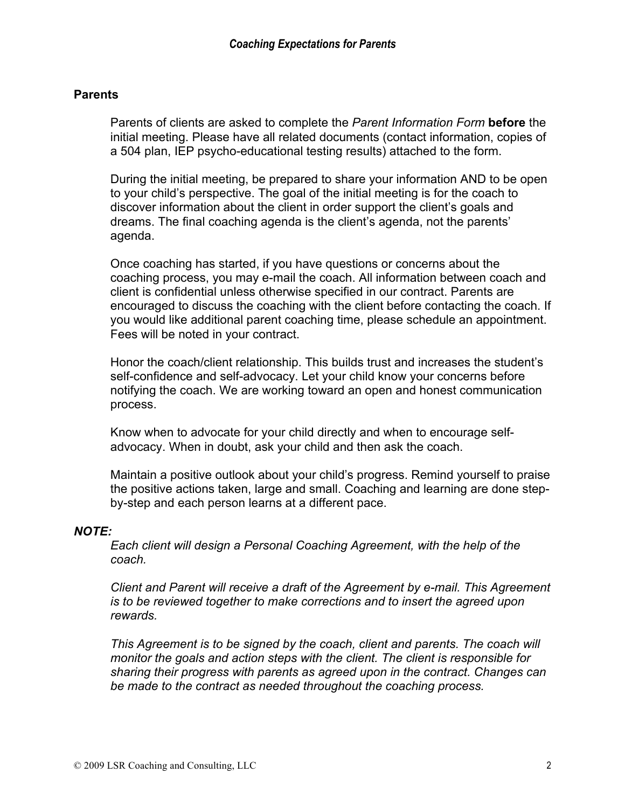## **Parents**

Parents of clients are asked to complete the *Parent Information Form* **before** the initial meeting. Please have all related documents (contact information, copies of a 504 plan, IEP psycho-educational testing results) attached to the form.

During the initial meeting, be prepared to share your information AND to be open to your child's perspective. The goal of the initial meeting is for the coach to discover information about the client in order support the client's goals and dreams. The final coaching agenda is the client's agenda, not the parents' agenda.

Once coaching has started, if you have questions or concerns about the coaching process, you may e-mail the coach. All information between coach and client is confidential unless otherwise specified in our contract. Parents are encouraged to discuss the coaching with the client before contacting the coach. If you would like additional parent coaching time, please schedule an appointment. Fees will be noted in your contract.

Honor the coach/client relationship. This builds trust and increases the student's self-confidence and self-advocacy. Let your child know your concerns before notifying the coach. We are working toward an open and honest communication process.

Know when to advocate for your child directly and when to encourage selfadvocacy. When in doubt, ask your child and then ask the coach.

Maintain a positive outlook about your child's progress. Remind yourself to praise the positive actions taken, large and small. Coaching and learning are done stepby-step and each person learns at a different pace.

## *NOTE:*

*Each client will design a Personal Coaching Agreement, with the help of the coach.*

*Client and Parent will receive a draft of the Agreement by e-mail. This Agreement is to be reviewed together to make corrections and to insert the agreed upon rewards.*

*This Agreement is to be signed by the coach, client and parents. The coach will monitor the goals and action steps with the client. The client is responsible for sharing their progress with parents as agreed upon in the contract. Changes can be made to the contract as needed throughout the coaching process.*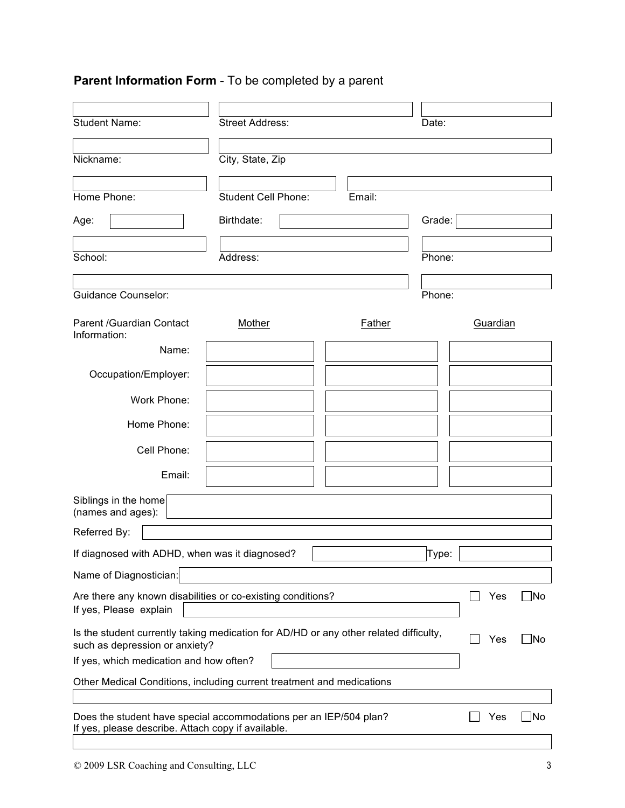# **Parent Information Form** - To be completed by a parent

| <b>Student Name:</b>                                                                                                                                               | <b>Street Address:</b>     |               | Date:  |          |     |  |  |
|--------------------------------------------------------------------------------------------------------------------------------------------------------------------|----------------------------|---------------|--------|----------|-----|--|--|
| Nickname:                                                                                                                                                          | City, State, Zip           |               |        |          |     |  |  |
| Home Phone:                                                                                                                                                        | <b>Student Cell Phone:</b> | Email:        |        |          |     |  |  |
| Age:                                                                                                                                                               | Birthdate:                 |               | Grade: |          |     |  |  |
| School:                                                                                                                                                            | Address:                   |               | Phone: |          |     |  |  |
| <b>Guidance Counselor:</b>                                                                                                                                         |                            |               | Phone: |          |     |  |  |
| Parent /Guardian Contact<br>Information:                                                                                                                           | <b>Mother</b>              | <b>Father</b> |        | Guardian |     |  |  |
| Name:                                                                                                                                                              |                            |               |        |          |     |  |  |
| Occupation/Employer:                                                                                                                                               |                            |               |        |          |     |  |  |
| Work Phone:                                                                                                                                                        |                            |               |        |          |     |  |  |
| Home Phone:                                                                                                                                                        |                            |               |        |          |     |  |  |
| Cell Phone:                                                                                                                                                        |                            |               |        |          |     |  |  |
| Email:                                                                                                                                                             |                            |               |        |          |     |  |  |
| Siblings in the home<br>(names and ages):                                                                                                                          |                            |               |        |          |     |  |  |
| Referred By:                                                                                                                                                       |                            |               |        |          |     |  |  |
| If diagnosed with ADHD, when was it diagnosed?                                                                                                                     |                            |               | Type:  |          |     |  |  |
| Name of Diagnostician:                                                                                                                                             |                            |               |        |          |     |  |  |
| Are there any known disabilities or co-existing conditions?<br>If yes, Please explain                                                                              |                            |               |        |          | ∃No |  |  |
| Is the student currently taking medication for AD/HD or any other related difficulty,<br>such as depression or anxiety?<br>If yes, which medication and how often? |                            |               |        |          | ]No |  |  |
| Other Medical Conditions, including current treatment and medications                                                                                              |                            |               |        |          |     |  |  |
| Does the student have special accommodations per an IEP/504 plan?<br>$\Box$ No<br>Yes<br>If yes, please describe. Attach copy if available.                        |                            |               |        |          |     |  |  |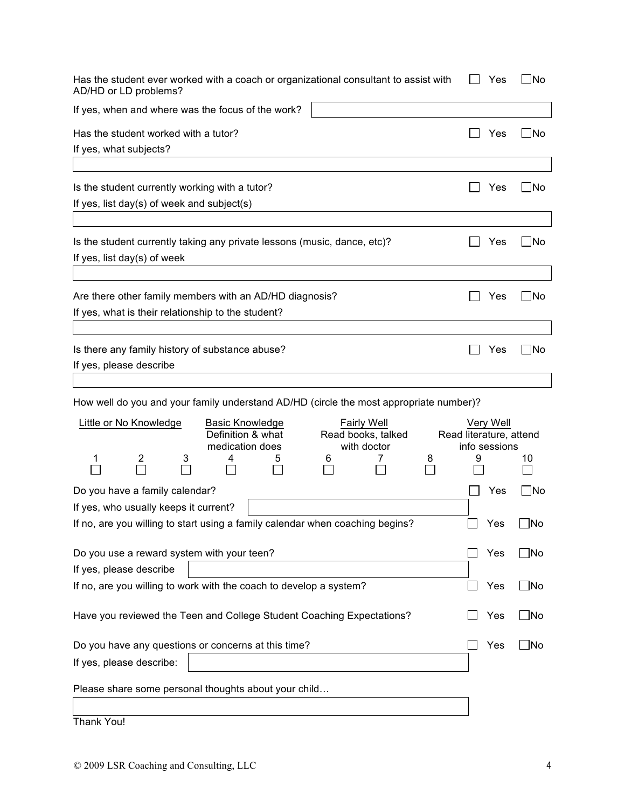| Has the student ever worked with a coach or organizational consultant to assist with<br>AD/HD or LD problems?                                       |                         | Yes                        | $\Box$ No      |
|-----------------------------------------------------------------------------------------------------------------------------------------------------|-------------------------|----------------------------|----------------|
| If yes, when and where was the focus of the work?                                                                                                   |                         |                            |                |
| Has the student worked with a tutor?<br>If yes, what subjects?                                                                                      |                         | Yes                        | $\bigsqcup$ No |
|                                                                                                                                                     |                         |                            |                |
| Is the student currently working with a tutor?<br>If yes, list day(s) of week and subject(s)                                                        |                         | Yes                        | ∐No            |
|                                                                                                                                                     |                         |                            |                |
| Is the student currently taking any private lessons (music, dance, etc)?<br>If yes, list day(s) of week                                             |                         | Yes                        | _No            |
|                                                                                                                                                     |                         |                            |                |
| Are there other family members with an AD/HD diagnosis?<br>If yes, what is their relationship to the student?                                       |                         | Yes                        | _No            |
|                                                                                                                                                     |                         |                            |                |
| Is there any family history of substance abuse?<br>If yes, please describe                                                                          |                         | Yes                        | $\Box$ No      |
|                                                                                                                                                     |                         |                            |                |
| How well do you and your family understand AD/HD (circle the most appropriate number)?                                                              |                         |                            |                |
| Little or No Knowledge<br><b>Basic Knowledge</b><br><b>Fairly Well</b><br>Definition & what<br>Read books, talked<br>medication does<br>with doctor | Read literature, attend | Very Well<br>info sessions |                |
| 3<br>2<br>4<br>6<br>7<br>5                                                                                                                          | 9<br>8                  |                            | 10             |
| Do you have a family calendar?                                                                                                                      |                         | Yes                        | $\Box$ No      |
| If yes, who usually keeps it current?                                                                                                               |                         |                            |                |
| If no, are you willing to start using a family calendar when coaching begins?                                                                       |                         | Yes                        | <b>No</b>      |
| Do you use a reward system with your teen?                                                                                                          |                         | Yes                        | 1No            |
| If yes, please describe                                                                                                                             |                         |                            |                |
| If no, are you willing to work with the coach to develop a system?                                                                                  |                         | Yes                        | $\Box$ No      |
| Have you reviewed the Teen and College Student Coaching Expectations?                                                                               |                         | Yes                        | __ No          |
| Do you have any questions or concerns at this time?                                                                                                 |                         | Yes                        | _No            |
| If yes, please describe:                                                                                                                            |                         |                            |                |
| Please share some personal thoughts about your child                                                                                                |                         |                            |                |
|                                                                                                                                                     |                         |                            |                |

Thank You!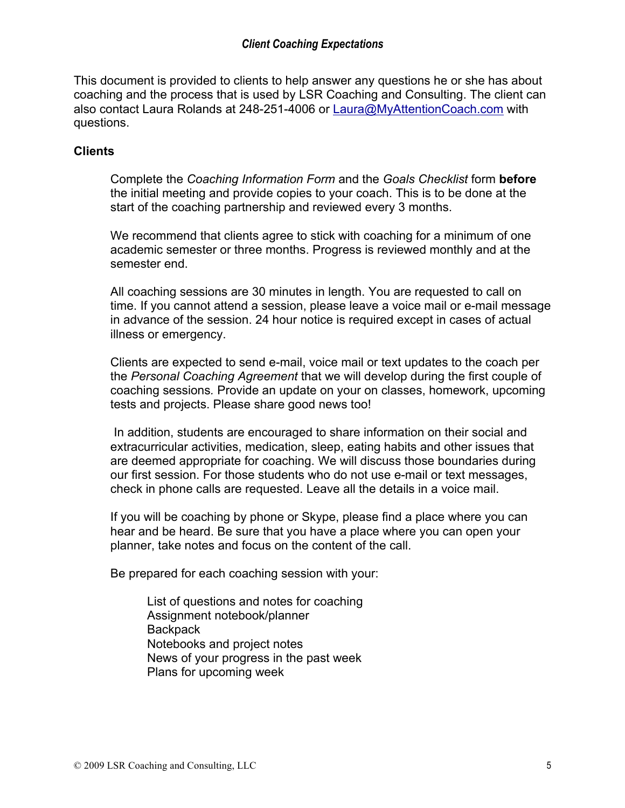### *Client Coaching Expectations*

This document is provided to clients to help answer any questions he or she has about coaching and the process that is used by LSR Coaching and Consulting. The client can also contact Laura Rolands at 248-251-4006 or Laura@MyAttentionCoach.com with questions.

### **Clients**

Complete the *Coaching Information Form* and the *Goals Checklist* form **before** the initial meeting and provide copies to your coach. This is to be done at the start of the coaching partnership and reviewed every 3 months.

We recommend that clients agree to stick with coaching for a minimum of one academic semester or three months. Progress is reviewed monthly and at the semester end.

All coaching sessions are 30 minutes in length. You are requested to call on time. If you cannot attend a session, please leave a voice mail or e-mail message in advance of the session. 24 hour notice is required except in cases of actual illness or emergency.

Clients are expected to send e-mail, voice mail or text updates to the coach per the *Personal Coaching Agreement* that we will develop during the first couple of coaching sessions*.* Provide an update on your on classes, homework, upcoming tests and projects. Please share good news too!

In addition, students are encouraged to share information on their social and extracurricular activities, medication, sleep, eating habits and other issues that are deemed appropriate for coaching. We will discuss those boundaries during our first session. For those students who do not use e-mail or text messages, check in phone calls are requested. Leave all the details in a voice mail.

If you will be coaching by phone or Skype, please find a place where you can hear and be heard. Be sure that you have a place where you can open your planner, take notes and focus on the content of the call.

Be prepared for each coaching session with your:

List of questions and notes for coaching Assignment notebook/planner **Backpack** Notebooks and project notes News of your progress in the past week Plans for upcoming week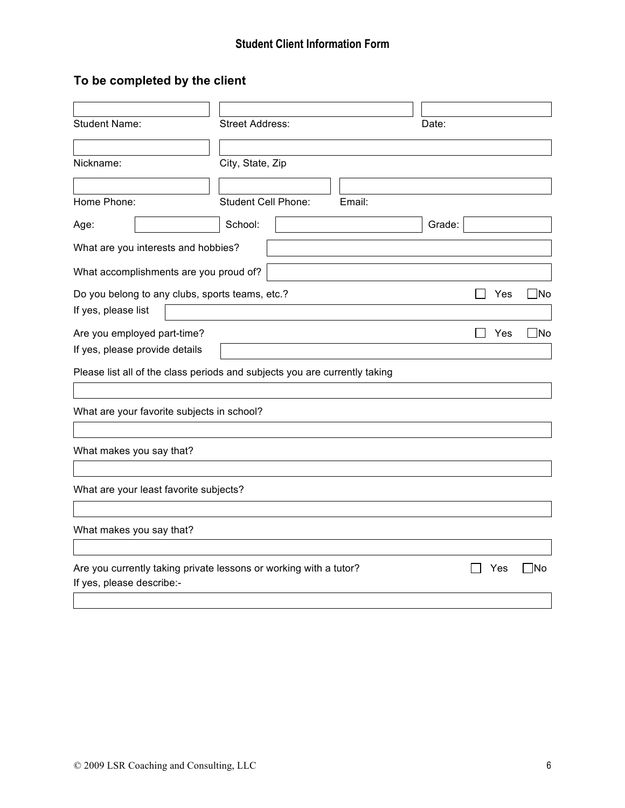# **To be completed by the client**

| <b>Student Name:</b>           |                                                                            | <b>Street Address:</b>     |        | Date:  |     |              |
|--------------------------------|----------------------------------------------------------------------------|----------------------------|--------|--------|-----|--------------|
|                                |                                                                            |                            |        |        |     |              |
| Nickname:                      |                                                                            | City, State, Zip           |        |        |     |              |
|                                |                                                                            |                            |        |        |     |              |
| Home Phone:                    |                                                                            | <b>Student Cell Phone:</b> | Email: |        |     |              |
| Age:                           |                                                                            | School:                    |        | Grade: |     |              |
|                                | What are you interests and hobbies?                                        |                            |        |        |     |              |
|                                | What accomplishments are you proud of?                                     |                            |        |        |     |              |
|                                | Do you belong to any clubs, sports teams, etc.?                            |                            |        |        | Yes | $\square$ No |
| If yes, please list            |                                                                            |                            |        |        |     |              |
|                                | Are you employed part-time?                                                |                            |        |        | Yes | $\square$ No |
| If yes, please provide details |                                                                            |                            |        |        |     |              |
|                                | Please list all of the class periods and subjects you are currently taking |                            |        |        |     |              |
|                                |                                                                            |                            |        |        |     |              |
|                                | What are your favorite subjects in school?                                 |                            |        |        |     |              |
|                                |                                                                            |                            |        |        |     |              |
| What makes you say that?       |                                                                            |                            |        |        |     |              |
|                                | What are your least favorite subjects?                                     |                            |        |        |     |              |
|                                |                                                                            |                            |        |        |     |              |
| What makes you say that?       |                                                                            |                            |        |        |     |              |
|                                |                                                                            |                            |        |        |     |              |
| If yes, please describe:-      | Are you currently taking private lessons or working with a tutor?          |                            |        |        | Yes | INo          |
|                                |                                                                            |                            |        |        |     |              |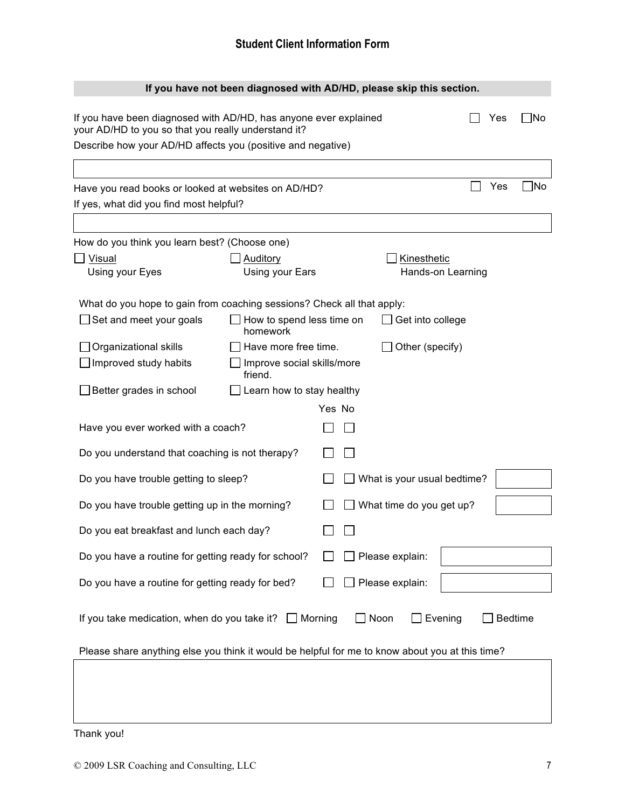| If you have not been diagnosed with AD/HD, please skip this section.                                                    |                                       |        |                             |     |                |  |
|-------------------------------------------------------------------------------------------------------------------------|---------------------------------------|--------|-----------------------------|-----|----------------|--|
| If you have been diagnosed with AD/HD, has anyone ever explained<br>your AD/HD to you so that you really understand it? |                                       |        |                             |     | _lNo           |  |
| Describe how your AD/HD affects you (positive and negative)                                                             |                                       |        |                             |     |                |  |
|                                                                                                                         |                                       |        |                             |     |                |  |
| Have you read books or looked at websites on AD/HD?                                                                     |                                       |        |                             | Yes | ]No            |  |
| If yes, what did you find most helpful?                                                                                 |                                       |        |                             |     |                |  |
| How do you think you learn best? (Choose one)                                                                           |                                       |        |                             |     |                |  |
| $\Box$ Visual                                                                                                           | Auditory                              |        | Kinesthetic                 |     |                |  |
| Using your Eyes                                                                                                         | Using your Ears                       |        | Hands-on Learning           |     |                |  |
|                                                                                                                         |                                       |        |                             |     |                |  |
| What do you hope to gain from coaching sessions? Check all that apply:                                                  |                                       |        |                             |     |                |  |
| $\Box$ Set and meet your goals                                                                                          | How to spend less time on<br>homework |        | Get into college            |     |                |  |
| Organizational skills                                                                                                   | Have more free time.                  |        | Other (specify)             |     |                |  |
| Improved study habits                                                                                                   | Improve social skills/more<br>friend. |        |                             |     |                |  |
| Better grades in school                                                                                                 | Learn how to stay healthy             |        |                             |     |                |  |
|                                                                                                                         |                                       | Yes No |                             |     |                |  |
| Have you ever worked with a coach?                                                                                      |                                       |        |                             |     |                |  |
| Do you understand that coaching is not therapy?                                                                         |                                       |        |                             |     |                |  |
| Do you have trouble getting to sleep?                                                                                   |                                       |        | What is your usual bedtime? |     |                |  |
| Do you have trouble getting up in the morning?                                                                          |                                       |        | What time do you get up?    |     |                |  |
| Do you eat breakfast and lunch each day?                                                                                |                                       |        |                             |     |                |  |
| Do you have a routine for getting ready for school?                                                                     |                                       |        | Please explain:             |     |                |  |
| Do you have a routine for getting ready for bed?                                                                        |                                       |        | Please explain:             |     |                |  |
| If you take medication, when do you take it? $\Box$ Morning                                                             |                                       |        | Noon<br>$\Box$ Evening      |     | <b>Bedtime</b> |  |
| Please share anything else you think it would be helpful for me to know about you at this time?                         |                                       |        |                             |     |                |  |
|                                                                                                                         |                                       |        |                             |     |                |  |
|                                                                                                                         |                                       |        |                             |     |                |  |
|                                                                                                                         |                                       |        |                             |     |                |  |
|                                                                                                                         |                                       |        |                             |     |                |  |

Thank you!